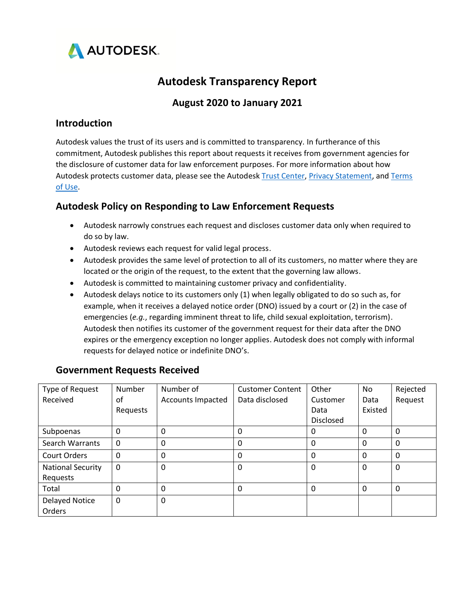

# **Autodesk Transparency Report**

## **August 2020 to January 2021**

#### **Introduction**

Autodesk values the trust of its users and is committed to transparency. In furtherance of this commitment, Autodesk publishes this report about requests it receives from government agencies for the disclosure of customer data for law enforcement purposes. For more information about how Autodesk protects customer data, please see the Autodes[k Trust Center,](https://www.autodesk.com/trust/overview) [Privacy Statement,](https://www.autodesk.com/company/legal-notices-trademarks/privacy-statement) and Terms [of Use.](https://www.autodesk.com/company/terms-of-use/en/general-terms)

### **Autodesk Policy on Responding to Law Enforcement Requests**

- Autodesk narrowly construes each request and discloses customer data only when required to do so by law.
- Autodesk reviews each request for valid legal process.
- Autodesk provides the same level of protection to all of its customers, no matter where they are located or the origin of the request, to the extent that the governing law allows.
- Autodesk is committed to maintaining customer privacy and confidentiality.
- Autodesk delays notice to its customers only (1) when legally obligated to do so such as, for example, when it receives a delayed notice order (DNO) issued by a court or (2) in the case of emergencies (*e.g.*, regarding imminent threat to life, child sexual exploitation, terrorism). Autodesk then notifies its customer of the government request for their data after the DNO expires or the emergency exception no longer applies. Autodesk does not comply with informal requests for delayed notice or indefinite DNO's.

| Type of Request          | Number   | Number of         | <b>Customer Content</b> | Other     | No       | Rejected |
|--------------------------|----------|-------------------|-------------------------|-----------|----------|----------|
| Received                 | οf       | Accounts Impacted | Data disclosed          | Customer  | Data     | Request  |
|                          | Requests |                   |                         | Data      | Existed  |          |
|                          |          |                   |                         | Disclosed |          |          |
| Subpoenas                | 0        | 0                 | 0                       | 0         | 0        | 0        |
| Search Warrants          | $\Omega$ | 0                 | 0                       | 0         | $\Omega$ | $\Omega$ |
| <b>Court Orders</b>      | $\Omega$ | 0                 | 0                       | 0         | 0        | $\Omega$ |
| <b>National Security</b> | 0        | 0                 | 0                       | 0         | 0        | $\Omega$ |
| Requests                 |          |                   |                         |           |          |          |
| Total                    | 0        | 0                 | 0                       | 0         | 0        | 0        |
| <b>Delayed Notice</b>    | $\Omega$ | 0                 |                         |           |          |          |
| Orders                   |          |                   |                         |           |          |          |

#### **Government Requests Received**